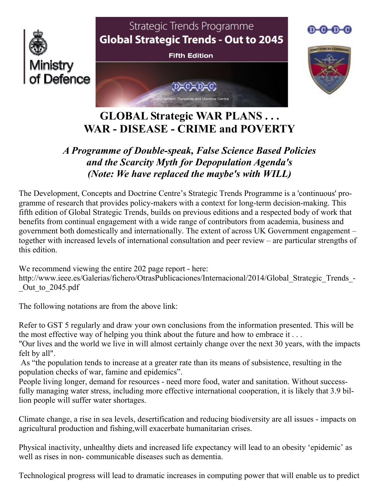

# **GLOBAL Strategic WAR PLANS . . . WAR - DISEASE - CRIME and POVERTY**

## *A Programme of Double-speak, False Science Based Policies and the Scarcity Myth for Depopulation Agenda's (Note: We have replaced the maybe's with WILL)*

The Development, Concepts and Doctrine Centre's Strategic Trends Programme is a 'continuous' programme of research that provides policy-makers with a context for long-term decision-making. This fifth edition of Global Strategic Trends, builds on previous editions and a respected body of work that benefits from continual engagement with a wide range of contributors from academia, business and government both domestically and internationally. The extent of across UK Government engagement – together with increased levels of international consultation and peer review – are particular strengths of this edition.

We recommend viewing the entire 202 page report - here:

http://www.ieee.es/Galerias/fichero/OtrasPublicaciones/Internacional/2014/Global\_Strategic\_Trends\_- \_Out\_to\_2045.pdf

The following notations are from the above link:

Refer to GST 5 regularly and draw your own conclusions from the information presented. This will be the most effective way of helping you think about the future and how to embrace it . . .

"Our lives and the world we live in will almost certainly change over the next 30 years, with the impacts felt by all".

 As "the population tends to increase at a greater rate than its means of subsistence, resulting in the population checks of war, famine and epidemics".

People living longer, demand for resources - need more food, water and sanitation. Without successfully managing water stress, including more effective international cooperation, it is likely that 3.9 billion people will suffer water shortages.

Climate change, a rise in sea levels, desertification and reducing biodiversity are all issues - impacts on agricultural production and fishing,will exacerbate humanitarian crises.

Physical inactivity, unhealthy diets and increased life expectancy will lead to an obesity 'epidemic' as well as rises in non- communicable diseases such as dementia.

Technological progress will lead to dramatic increases in computing power that will enable us to predict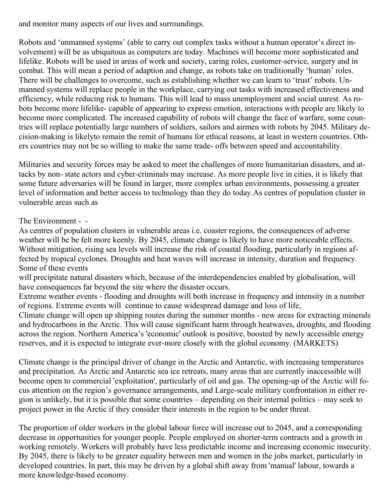and monitor many aspects of our lives and surroundings.

Robots and 'unmanned systems' (able to carry out complex tasks without a human operator's direct involvement) will be as ubiquitous as computers are today. Machines will become more sophisticated and lifelike. Robots will be used in areas of work and society, caring roles, customer-service, surgery and in combat. This will mean a period of adaption and change, as robots take on traditionally 'human' roles. There will be challenges to overcome, such as establishing whether we can learn to 'trust' robots. Unmanned systems will replace people in the workplace, carrying out tasks with increased effectiveness and efficiency, while reducing risk to humans. This will lead to mass unemployment and social unrest. As robots become more lifelike- capable of appearing to express emotion, interactions with people are likely to become more complicated. The increased capability of robots will change the face of warfare, some countries will replace potentially large numbers of soldiers, sailors and airmen with robots by 2045. Military decision-making is likelyto remain the remit of humans for ethical reasons, at least in western countries. Others countries may not be so willing to make the same trade- offs between speed and accountability.

Militaries and security forces may be asked to meet the challenges of more humanitarian disasters, and attacks by non- state actors and cyber-criminals may increase. As more people live in cities, it is likely that some future adversaries will be found in larger, more complex urban environments, possessing a greater level of information and better access to technology than they do today.As centres of population cluster in vulnerable areas such as

### The Environment - -

As centres of population clusters in vulnerable areas i.e. coaster regions, the consequences of adverse weather will be be felt more keenly. By 2045, climate change is likely to have more noticeable effects. Without mitigation, rising sea levels will increase the risk of coastal flooding, particularly in regions affected by tropical cyclones. Droughts and heat waves will increase in intensity, duration and frequency. Some of these events

will precipitate natural disasters which, because of the interdependencies enabled by globalisation, will have consequences far beyond the site where the disaster occurs.

Extreme weather events - flooding and droughts will both increase in frequency and intensity in a number of regions. Extreme events will continue to cause widespread damage and loss of life,

Climate change will open up shipping routes during the summer months - new areas for extracting minerals and hydrocarbons in the Arctic. This will cause significant harm through heatwaves, droughts, and flooding across the region. Northern America's 'economic' outlook is positive, boosted by newly accessible energy reserves, and it is expected to integrate ever-more closely with the global economy. (MARKETS)

Climate change is the principal driver of change in the Arctic and Antarctic, with increasing temperatures and precipitation. As Arctic and Antarctic sea ice retreats, many areas that are currently inaccessible will become open to commercial 'exploitation', particularly of oil and gas. The opening-up of the Arctic will focus attention on the region's governance arrangements, and Large-scale military confrontation in either region is unlikely, but it is possible that some countries – depending on their internal politics – may seek to project power in the Arctic if they consider their interests in the region to be under threat.

The proportion of older workers in the global labour force will increase out to 2045, and a corresponding decrease in opportunities for younger people. People employed on shorter-term contracts and a growth in working remotely. Workers will probably have less predictable income and increasing economic insecurity. By 2045, there is likely to be greater equality between men and women in the jobs market, particularly in developed countries. In part, this may be driven by a global shift away from 'manual' labour, towards a more knowledge-based economy.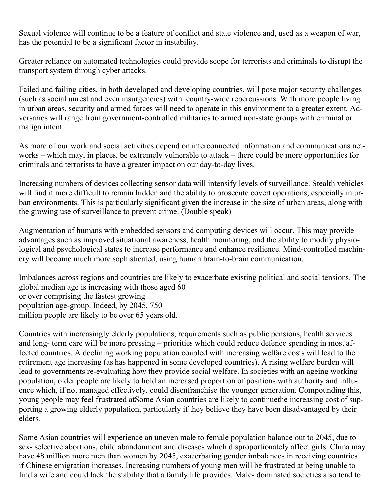Sexual violence will continue to be a feature of conflict and state violence and, used as a weapon of war, has the potential to be a significant factor in instability.

Greater reliance on automated technologies could provide scope for terrorists and criminals to disrupt the transport system through cyber attacks.

Failed and failing cities, in both developed and developing countries, will pose major security challenges (such as social unrest and even insurgencies) with country-wide repercussions. With more people living in urban areas, security and armed forces will need to operate in this environment to a greater extent. Adversaries will range from government-controlled militaries to armed non-state groups with criminal or malign intent.

As more of our work and social activities depend on interconnected information and communications networks – which may, in places, be extremely vulnerable to attack – there could be more opportunities for criminals and terrorists to have a greater impact on our day-to-day lives.

Increasing numbers of devices collecting sensor data will intensify levels of surveillance. Stealth vehicles will find it more difficult to remain hidden and the ability to prosecute covert operations, especially in urban environments. This is particularly significant given the increase in the size of urban areas, along with the growing use of surveillance to prevent crime. (Double speak)

Augmentation of humans with embedded sensors and computing devices will occur. This may provide advantages such as improved situational awareness, health monitoring, and the ability to modify physiological and psychological states to increase performance and enhance resilience. Mind-controlled machinery will become much more sophisticated, using human brain-to-brain communication.

Imbalances across regions and countries are likely to exacerbate existing political and social tensions. The global median age is increasing with those aged 60 or over comprising the fastest growing population age-group. Indeed, by 2045, 750 million people are likely to be over 65 years old.

Countries with increasingly elderly populations, requirements such as public pensions, health services and long- term care will be more pressing – priorities which could reduce defence spending in most affected countries. A declining working population coupled with increasing welfare costs will lead to the retirement age increasing (as has happened in some developed countries). A rising welfare burden will lead to governments re-evaluating how they provide social welfare. In societies with an ageing working population, older people are likely to hold an increased proportion of positions with authority and influence which, if not managed effectively, could disenfranchise the younger generation. Compounding this, young people may feel frustrated atSome Asian countries are likely to continuethe increasing cost of supporting a growing elderly population, particularly if they believe they have been disadvantaged by their elders.

Some Asian countries will experience an uneven male to female population balance out to 2045, due to sex- selective abortions, child abandonment and diseases which disproportionately affect girls. China may have 48 million more men than women by 2045, exacerbating gender imbalances in receiving countries if Chinese emigration increases. Increasing numbers of young men will be frustrated at being unable to find a wife and could lack the stability that a family life provides. Male- dominated societies also tend to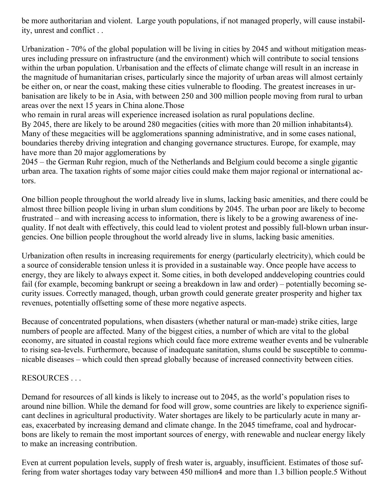be more authoritarian and violent. Large youth populations, if not managed properly, will cause instability, unrest and conflict . .

Urbanization - 70% of the global population will be living in cities by 2045 and without mitigation measures including pressure on infrastructure (and the environment) which will contribute to social tensions within the urban population. Urbanisation and the effects of climate change will result in an increase in the magnitude of humanitarian crises, particularly since the majority of urban areas will almost certainly be either on, or near the coast, making these cities vulnerable to flooding. The greatest increases in urbanisation are likely to be in Asia, with between 250 and 300 million people moving from rural to urban areas over the next 15 years in China alone.Those

who remain in rural areas will experience increased isolation as rural populations decline.

By 2045, there are likely to be around 280 megacities (cities with more than 20 million inhabitants4). Many of these megacities will be agglomerations spanning administrative, and in some cases national, boundaries thereby driving integration and changing governance structures. Europe, for example, may have more than 20 major agglomerations by

2045 – the German Ruhr region, much of the Netherlands and Belgium could become a single gigantic urban area. The taxation rights of some major cities could make them major regional or international actors.

One billion people throughout the world already live in slums, lacking basic amenities, and there could be almost three billion people living in urban slum conditions by 2045. The urban poor are likely to become frustrated – and with increasing access to information, there is likely to be a growing awareness of inequality. If not dealt with effectively, this could lead to violent protest and possibly full-blown urban insurgencies. One billion people throughout the world already live in slums, lacking basic amenities.

Urbanization often results in increasing requirements for energy (particularly electricity), which could be a source of considerable tension unless it is provided in a sustainable way. Once people have access to energy, they are likely to always expect it. Some cities, in both developed anddeveloping countries could fail (for example, becoming bankrupt or seeing a breakdown in law and order) – potentially becoming security issues. Correctly managed, though, urban growth could generate greater prosperity and higher tax revenues, potentially offsetting some of these more negative aspects.

Because of concentrated populations, when disasters (whether natural or man-made) strike cities, large numbers of people are affected. Many of the biggest cities, a number of which are vital to the global economy, are situated in coastal regions which could face more extreme weather events and be vulnerable to rising sea-levels. Furthermore, because of inadequate sanitation, slums could be susceptible to communicable diseases – which could then spread globally because of increased connectivity between cities.

## RESOURCES . . .

Demand for resources of all kinds is likely to increase out to 2045, as the world's population rises to around nine billion. While the demand for food will grow, some countries are likely to experience significant declines in agricultural productivity. Water shortages are likely to be particularly acute in many areas, exacerbated by increasing demand and climate change. In the 2045 timeframe, coal and hydrocarbons are likely to remain the most important sources of energy, with renewable and nuclear energy likely to make an increasing contribution.

Even at current population levels, supply of fresh water is, arguably, insufficient. Estimates of those suffering from water shortages today vary between 450 million4 and more than 1.3 billion people.5 Without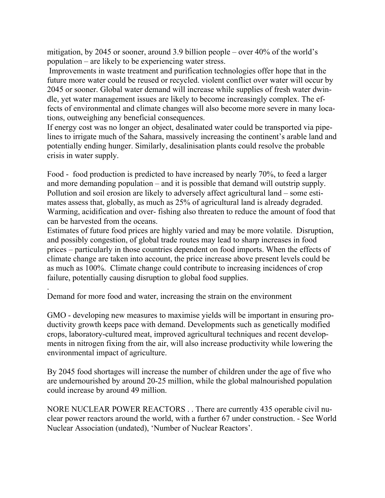mitigation, by 2045 or sooner, around 3.9 billion people – over 40% of the world's population – are likely to be experiencing water stress.

 Improvements in waste treatment and purification technologies offer hope that in the future more water could be reused or recycled. violent conflict over water will occur by 2045 or sooner. Global water demand will increase while supplies of fresh water dwindle, yet water management issues are likely to become increasingly complex. The effects of environmental and climate changes will also become more severe in many locations, outweighing any beneficial consequences.

If energy cost was no longer an object, desalinated water could be transported via pipelines to irrigate much of the Sahara, massively increasing the continent's arable land and potentially ending hunger. Similarly, desalinisation plants could resolve the probable crisis in water supply.

Food - food production is predicted to have increased by nearly 70%, to feed a larger and more demanding population – and it is possible that demand will outstrip supply. Pollution and soil erosion are likely to adversely affect agricultural land – some estimates assess that, globally, as much as 25% of agricultural land is already degraded. Warming, acidification and over- fishing also threaten to reduce the amount of food that can be harvested from the oceans.

Estimates of future food prices are highly varied and may be more volatile. Disruption, and possibly congestion, of global trade routes may lead to sharp increases in food prices – particularly in those countries dependent on food imports. When the effects of climate change are taken into account, the price increase above present levels could be as much as 100%. Climate change could contribute to increasing incidences of crop failure, potentially causing disruption to global food supplies.

Demand for more food and water, increasing the strain on the environment

.

GMO - developing new measures to maximise yields will be important in ensuring productivity growth keeps pace with demand. Developments such as genetically modified crops, laboratory-cultured meat, improved agricultural techniques and recent developments in nitrogen fixing from the air, will also increase productivity while lowering the environmental impact of agriculture.

By 2045 food shortages will increase the number of children under the age of five who are undernourished by around 20-25 million, while the global malnourished population could increase by around 49 million.

NORE NUCLEAR POWER REACTORS . . There are currently 435 operable civil nuclear power reactors around the world, with a further 67 under construction. - See World Nuclear Association (undated), 'Number of Nuclear Reactors'.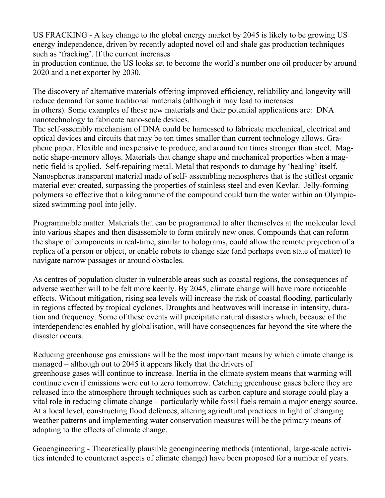US FRACKING - A key change to the global energy market by 2045 is likely to be growing US energy independence, driven by recently adopted novel oil and shale gas production techniques such as 'fracking'. If the current increases

in production continue, the US looks set to become the world's number one oil producer by around 2020 and a net exporter by 2030.

The discovery of alternative materials offering improved efficiency, reliability and longevity will reduce demand for some traditional materials (although it may lead to increases in others). Some examples of these new materials and their potential applications are: DNA nanotechnology to fabricate nano-scale devices.

The self-assembly mechanism of DNA could be harnessed to fabricate mechanical, electrical and optical devices and circuits that may be ten times smaller than current technology allows. Graphene paper. Flexible and inexpensive to produce, and around ten times stronger than steel. Magnetic shape-memory alloys. Materials that change shape and mechanical properties when a magnetic field is applied. Self-repairing metal. Metal that responds to damage by 'healing' itself. Nanospheres.transparent material made of self- assembling nanospheres that is the stiffest organic material ever created, surpassing the properties of stainless steel and even Kevlar. Jelly-forming polymers so effective that a kilogramme of the compound could turn the water within an Olympicsized swimming pool into jelly.

Programmable matter. Materials that can be programmed to alter themselves at the molecular level into various shapes and then disassemble to form entirely new ones. Compounds that can reform the shape of components in real-time, similar to holograms, could allow the remote projection of a replica of a person or object, or enable robots to change size (and perhaps even state of matter) to navigate narrow passages or around obstacles.

As centres of population cluster in vulnerable areas such as coastal regions, the consequences of adverse weather will to be felt more keenly. By 2045, climate change will have more noticeable effects. Without mitigation, rising sea levels will increase the risk of coastal flooding, particularly in regions affected by tropical cyclones. Droughts and heatwaves will increase in intensity, duration and frequency. Some of these events will precipitate natural disasters which, because of the interdependencies enabled by globalisation, will have consequences far beyond the site where the disaster occurs.

Reducing greenhouse gas emissions will be the most important means by which climate change is managed – although out to 2045 it appears likely that the drivers of greenhouse gases will continue to increase. Inertia in the climate system means that warming will continue even if emissions were cut to zero tomorrow. Catching greenhouse gases before they are released into the atmosphere through techniques such as carbon capture and storage could play a vital role in reducing climate change – particularly while fossil fuels remain a major energy source. At a local level, constructing flood defences, altering agricultural practices in light of changing weather patterns and implementing water conservation measures will be the primary means of adapting to the effects of climate change.

Geoengineering - Theoretically plausible geoengineering methods (intentional, large-scale activities intended to counteract aspects of climate change) have been proposed for a number of years.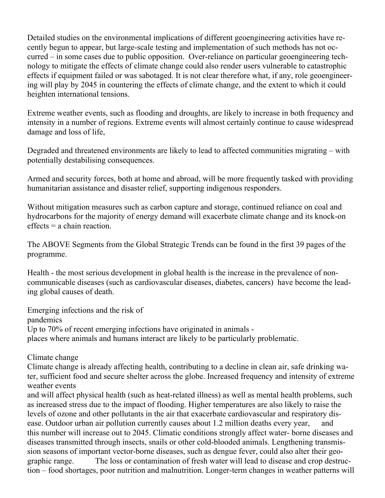Detailed studies on the environmental implications of different geoengineering activities have recently begun to appear, but large-scale testing and implementation of such methods has not occurred – in some cases due to public opposition. Over-reliance on particular geoengineering technology to mitigate the effects of climate change could also render users vulnerable to catastrophic effects if equipment failed or was sabotaged. It is not clear therefore what, if any, role geoengineering will play by 2045 in countering the effects of climate change, and the extent to which it could heighten international tensions.

Extreme weather events, such as flooding and droughts, are likely to increase in both frequency and intensity in a number of regions. Extreme events will almost certainly continue to cause widespread damage and loss of life,

Degraded and threatened environments are likely to lead to affected communities migrating – with potentially destabilising consequences.

Armed and security forces, both at home and abroad, will be more frequently tasked with providing humanitarian assistance and disaster relief, supporting indigenous responders.

Without mitigation measures such as carbon capture and storage, continued reliance on coal and hydrocarbons for the majority of energy demand will exacerbate climate change and its knock-on effects = a chain reaction.

The ABOVE Segments from the Global Strategic Trends can be found in the first 39 pages of the programme.

Health - the most serious development in global health is the increase in the prevalence of noncommunicable diseases (such as cardiovascular diseases, diabetes, cancers) have become the leading global causes of death.

Emerging infections and the risk of pandemics Up to 70% of recent emerging infections have originated in animals places where animals and humans interact are likely to be particularly problematic.

Climate change

Climate change is already affecting health, contributing to a decline in clean air, safe drinking water, sufficient food and secure shelter across the globe. Increased frequency and intensity of extreme weather events

and will affect physical health (such as heat-related illness) as well as mental health problems, such as increased stress due to the impact of flooding. Higher temperatures are also likely to raise the levels of ozone and other pollutants in the air that exacerbate cardiovascular and respiratory disease. Outdoor urban air pollution currently causes about 1.2 million deaths every year, and this number will increase out to 2045. Climatic conditions strongly affect water- borne diseases and diseases transmitted through insects, snails or other cold-blooded animals. Lengthening transmission seasons of important vector-borne diseases, such as dengue fever, could also alter their geographic range. The loss or contamination of fresh water will lead to disease and crop destruction – food shortages, poor nutrition and malnutrition. Longer-term changes in weather patterns will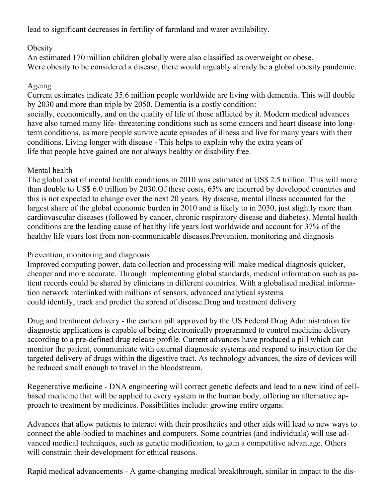lead to significant decreases in fertility of farmland and water availability.

## **Obesity**

An estimated 170 million children globally were also classified as overweight or obese. Were obesity to be considered a disease, there would arguably already be a global obesity pandemic.

## Ageing

Current estimates indicate 35.6 million people worldwide are living with dementia. This will double by 2030 and more than triple by 2050. Dementia is a costly condition:

socially, economically, and on the quality of life of those afflicted by it. Modern medical advances have also turned many life- threatening conditions such as some cancers and heart disease into longterm conditions, as more people survive acute episodes of illness and live for many years with their conditions. Living longer with disease - This helps to explain why the extra years of life that people have gained are not always healthy or disability free.

## Mental health

The global cost of mental health conditions in 2010 was estimated at US\$ 2.5 trillion. This will more than double to US\$ 6.0 trillion by 2030.Of these costs, 65% are incurred by developed countries and this is not expected to change over the next 20 years. By disease, mental illness accounted for the largest share of the global economic burden in 2010 and is likely to in 2030, just slightly more than cardiovascular diseases (followed by cancer, chronic respiratory disease and diabetes). Mental health conditions are the leading cause of healthy life years lost worldwide and account for 37% of the healthy life years lost from non-communicable diseases.Prevention, monitoring and diagnosis

## Prevention, monitoring and diagnosis

Improved computing power, data collection and processing will make medical diagnosis quicker, cheaper and more accurate. Through implementing global standards, medical information such as patient records could be shared by clinicians in different countries. With a globalised medical information network interlinked with millions of sensors, advanced analytical systems could identify, track and predict the spread of disease.Drug and treatment delivery

Drug and treatment delivery - the camera pill approved by the US Federal Drug Administration for diagnostic applications is capable of being electronically programmed to control medicine delivery according to a pre-defined drug release profile. Current advances have produced a pill which can monitor the patient, communicate with external diagnostic systems and respond to instruction for the targeted delivery of drugs within the digestive tract. As technology advances, the size of devices will be reduced small enough to travel in the bloodstream.

Regenerative medicine - DNA engineering will correct genetic defects and lead to a new kind of cellbased medicine that will be applied to every system in the human body, offering an alternative approach to treatment by medicines. Possibilities include: growing entire organs.

Advances that allow patients to interact with their prosthetics and other aids will lead to new ways to connect the able-bodied to machines and computers. Some countries (and individuals) will use advanced medical techniques, such as genetic modification, to gain a competitive advantage. Others will constrain their development for ethical reasons.

Rapid medical advancements - A game-changing medical breakthrough, similar in impact to the dis-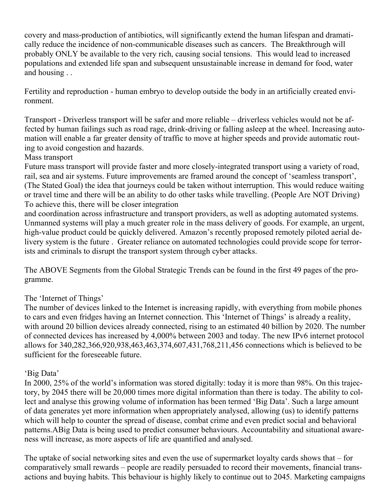covery and mass-production of antibiotics, will significantly extend the human lifespan and dramatically reduce the incidence of non-communicable diseases such as cancers. The Breakthrough will probably ONLY be available to the very rich, causing social tensions. This would lead to increased populations and extended life span and subsequent unsustainable increase in demand for food, water and housing . .

Fertility and reproduction - human embryo to develop outside the body in an artificially created environment.

Transport - Driverless transport will be safer and more reliable – driverless vehicles would not be affected by human failings such as road rage, drink-driving or falling asleep at the wheel. Increasing automation will enable a far greater density of traffic to move at higher speeds and provide automatic routing to avoid congestion and hazards.

#### Mass transport

Future mass transport will provide faster and more closely-integrated transport using a variety of road, rail, sea and air systems. Future improvements are framed around the concept of 'seamless transport', (The Stated Goal) the idea that journeys could be taken without interruption. This would reduce waiting or travel time and there will be an ability to do other tasks while travelling. (People Are NOT Driving) To achieve this, there will be closer integration

and coordination across infrastructure and transport providers, as well as adopting automated systems. Unmanned systems will play a much greater role in the mass delivery of goods. For example, an urgent, high-value product could be quickly delivered. Amazon's recently proposed remotely piloted aerial delivery system is the future . Greater reliance on automated technologies could provide scope for terrorists and criminals to disrupt the transport system through cyber attacks.

The ABOVE Segments from the Global Strategic Trends can be found in the first 49 pages of the programme.

## The 'Internet of Things'

The number of devices linked to the Internet is increasing rapidly, with everything from mobile phones to cars and even fridges having an Internet connection. This 'Internet of Things' is already a reality, with around 20 billion devices already connected, rising to an estimated 40 billion by 2020. The number of connected devices has increased by 4,000% between 2003 and today. The new IPv6 internet protocol allows for 340,282,366,920,938,463,463,374,607,431,768,211,456 connections which is believed to be sufficient for the foreseeable future.

## 'Big Data'

In 2000, 25% of the world's information was stored digitally: today it is more than 98%. On this trajectory, by 2045 there will be 20,000 times more digital information than there is today. The ability to collect and analyse this growing volume of information has been termed 'Big Data'. Such a large amount of data generates yet more information when appropriately analysed, allowing (us) to identify patterns which will help to counter the spread of disease, combat crime and even predict social and behavioral patterns.ABig Data is being used to predict consumer behaviours. Accountability and situational awareness will increase, as more aspects of life are quantified and analysed.

The uptake of social networking sites and even the use of supermarket loyalty cards shows that – for comparatively small rewards – people are readily persuaded to record their movements, financial transactions and buying habits. This behaviour is highly likely to continue out to 2045. Marketing campaigns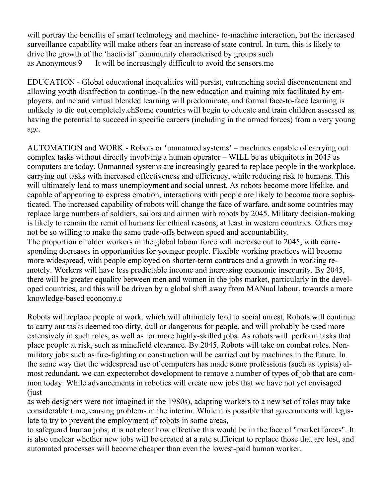will portray the benefits of smart technology and machine- to-machine interaction, but the increased surveillance capability will make others fear an increase of state control. In turn, this is likely to drive the growth of the 'hactivist' community characterised by groups such as Anonymous.9 It will be increasingly difficult to avoid the sensors.me

EDUCATION - Global educational inequalities will persist, entrenching social discontentment and allowing youth disaffection to continue.-In the new education and training mix facilitated by employers, online and virtual blended learning will predominate, and formal face-to-face learning is unlikely to die out completely.chSome countries will begin to educate and train children assessed as having the potential to succeed in specific careers (including in the armed forces) from a very young age.

AUTOMATION and WORK - Robots or 'unmanned systems' – machines capable of carrying out complex tasks without directly involving a human operator – WILL be as ubiquitous in 2045 as computers are today. Unmanned systems are increasingly geared to replace people in the workplace, carrying out tasks with increased effectiveness and efficiency, while reducing risk to humans. This will ultimately lead to mass unemployment and social unrest. As robots become more lifelike, and capable of appearing to express emotion, interactions with people are likely to become more sophisticated. The increased capability of robots will change the face of warfare, andt some countries may replace large numbers of soldiers, sailors and airmen with robots by 2045. Military decision-making is likely to remain the remit of humans for ethical reasons, at least in western countries. Others may not be so willing to make the same trade-offs between speed and accountability. The proportion of older workers in the global labour force will increase out to 2045, with corresponding decreases in opportunities for younger people. Flexible working practices will become more widespread, with people employed on shorter-term contracts and a growth in working remotely. Workers will have less predictable income and increasing economic insecurity. By 2045,

there will be greater equality between men and women in the jobs market, particularly in the developed countries, and this will be driven by a global shift away from MANual labour, towards a more knowledge-based economy.c

Robots will replace people at work, which will ultimately lead to social unrest. Robots will continue to carry out tasks deemed too dirty, dull or dangerous for people, and will probably be used more extensively in such roles, as well as for more highly-skilled jobs. As robots will perform tasks that place people at risk, such as minefield clearance. By 2045, Robots will take on combat roles. Nonmilitary jobs such as fire-fighting or construction will be carried out by machines in the future. In the same way that the widespread use of computers has made some professions (such as typists) almost redundant, we can expecterobot development to remove a number of types of job that are common today. While advancements in robotics will create new jobs that we have not yet envisaged (just

as web designers were not imagined in the 1980s), adapting workers to a new set of roles may take considerable time, causing problems in the interim. While it is possible that governments will legislate to try to prevent the employment of robots in some areas,

to safeguard human jobs, it is not clear how effective this would be in the face of "market forces". It is also unclear whether new jobs will be created at a rate sufficient to replace those that are lost, and automated processes will become cheaper than even the lowest-paid human worker.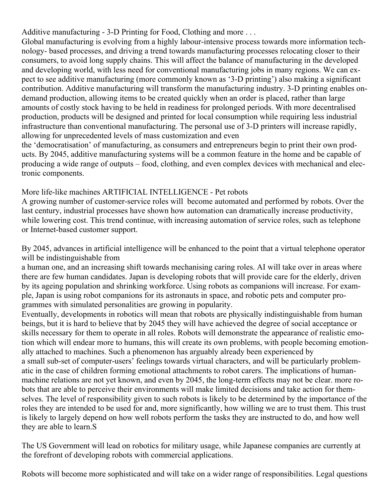Additive manufacturing - 3-D Printing for Food, Clothing and more . . .

Global manufacturing is evolving from a highly labour-intensive process towards more information technology- based processes, and driving a trend towards manufacturing processes relocating closer to their consumers, to avoid long supply chains. This will affect the balance of manufacturing in the developed and developing world, with less need for conventional manufacturing jobs in many regions. We can expect to see additive manufacturing (more commonly known as '3-D printing') also making a significant contribution. Additive manufacturing will transform the manufacturing industry. 3-D printing enables ondemand production, allowing items to be created quickly when an order is placed, rather than large amounts of costly stock having to be held in readiness for prolonged periods. With more decentralised production, products will be designed and printed for local consumption while requiring less industrial infrastructure than conventional manufacturing. The personal use of 3-D printers will increase rapidly, allowing for unprecedented levels of mass customization and even

the 'democratisation' of manufacturing, as consumers and entrepreneurs begin to print their own products. By 2045, additive manufacturing systems will be a common feature in the home and be capable of producing a wide range of outputs – food, clothing, and even complex devices with mechanical and electronic components.

More life-like machines ARTIFICIAL INTELLIGENCE - Pet robots

A growing number of customer-service roles will become automated and performed by robots. Over the last century, industrial processes have shown how automation can dramatically increase productivity, while lowering cost. This trend continue, with increasing automation of service roles, such as telephone or Internet-based customer support.

By 2045, advances in artificial intelligence will be enhanced to the point that a virtual telephone operator will be indistinguishable from

a human one, and an increasing shift towards mechanising caring roles. AI will take over in areas where there are few human candidates. Japan is developing robots that will provide care for the elderly, driven by its ageing population and shrinking workforce. Using robots as companions will increase. For example, Japan is using robot companions for its astronauts in space, and robotic pets and computer programmes with simulated personalities are growing in popularity.

Eventually, developments in robotics will mean that robots are physically indistinguishable from human beings, but it is hard to believe that by 2045 they will have achieved the degree of social acceptance or skills necessary for them to operate in all roles. Robots will demonstrate the appearance of realistic emotion which will endear more to humans, this will create its own problems, with people becoming emotionally attached to machines. Such a phenomenon has arguably already been experienced by a small sub-set of computer-users' feelings towards virtual characters, and will be particularly problematic in the case of children forming emotional attachments to robot carers. The implications of humanmachine relations are not yet known, and even by 2045, the long-term effects may not be clear. more robots that are able to perceive their environments will make limited decisions and take action for themselves. The level of responsibility given to such robots is likely to be determined by the importance of the roles they are intended to be used for and, more significantly, how willing we are to trust them. This trust is likely to largely depend on how well robots perform the tasks they are instructed to do, and how well they are able to learn.S

The US Government will lead on robotics for military usage, while Japanese companies are currently at the forefront of developing robots with commercial applications.

Robots will become more sophisticated and will take on a wider range of responsibilities. Legal questions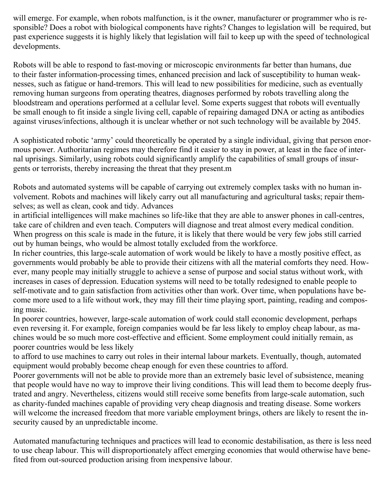will emerge. For example, when robots malfunction, is it the owner, manufacturer or programmer who is responsible? Does a robot with biological components have rights? Changes to legislation will be required, but past experience suggests it is highly likely that legislation will fail to keep up with the speed of technological developments.

Robots will be able to respond to fast-moving or microscopic environments far better than humans, due to their faster information-processing times, enhanced precision and lack of susceptibility to human weaknesses, such as fatigue or hand-tremors. This will lead to new possibilities for medicine, such as eventually removing human surgeons from operating theatres, diagnoses performed by robots travelling along the bloodstream and operations performed at a cellular level. Some experts suggest that robots will eventually be small enough to fit inside a single living cell, capable of repairing damaged DNA or acting as antibodies against viruses/infections, although it is unclear whether or not such technology will be available by 2045.

A sophisticated robotic 'army' could theoretically be operated by a single individual, giving that person enormous power. Authoritarian regimes may therefore find it easier to stay in power, at least in the face of internal uprisings. Similarly, using robots could significantly amplify the capabilities of small groups of insurgents or terrorists, thereby increasing the threat that they present.m

Robots and automated systems will be capable of carrying out extremely complex tasks with no human involvement. Robots and machines will likely carry out all manufacturing and agricultural tasks; repair themselves; as well as clean, cook and tidy. Advances

in artificial intelligences will make machines so life-like that they are able to answer phones in call-centres, take care of children and even teach. Computers will diagnose and treat almost every medical condition. When progress on this scale is made in the future, it is likely that there would be very few jobs still carried out by human beings, who would be almost totally excluded from the workforce.

In richer countries, this large-scale automation of work would be likely to have a mostly positive effect, as governments would probably be able to provide their citizens with all the material comforts they need. However, many people may initially struggle to achieve a sense of purpose and social status without work, with increases in cases of depression. Education systems will need to be totally redesigned to enable people to self-motivate and to gain satisfaction from activities other than work. Over time, when populations have become more used to a life without work, they may fill their time playing sport, painting, reading and composing music.

In poorer countries, however, large-scale automation of work could stall economic development, perhaps even reversing it. For example, foreign companies would be far less likely to employ cheap labour, as machines would be so much more cost-effective and efficient. Some employment could initially remain, as poorer countries would be less likely

to afford to use machines to carry out roles in their internal labour markets. Eventually, though, automated equipment would probably become cheap enough for even these countries to afford.

Poorer governments will not be able to provide more than an extremely basic level of subsistence, meaning that people would have no way to improve their living conditions. This will lead them to become deeply frustrated and angry. Nevertheless, citizens would still receive some benefits from large-scale automation, such as charity-funded machines capable of providing very cheap diagnosis and treating disease. Some workers will welcome the increased freedom that more variable employment brings, others are likely to resent the insecurity caused by an unpredictable income.

Automated manufacturing techniques and practices will lead to economic destabilisation, as there is less need to use cheap labour. This will disproportionately affect emerging economies that would otherwise have benefited from out-sourced production arising from inexpensive labour.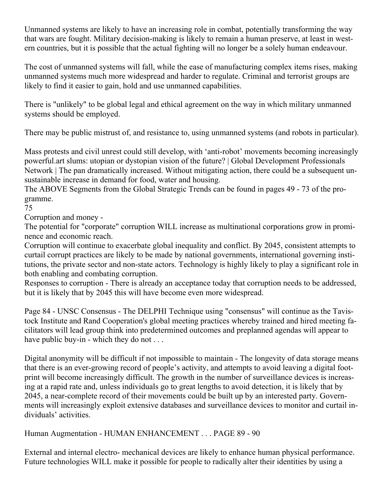Unmanned systems are likely to have an increasing role in combat, potentially transforming the way that wars are fought. Military decision-making is likely to remain a human preserve, at least in western countries, but it is possible that the actual fighting will no longer be a solely human endeavour.

The cost of unmanned systems will fall, while the ease of manufacturing complex items rises, making unmanned systems much more widespread and harder to regulate. Criminal and terrorist groups are likely to find it easier to gain, hold and use unmanned capabilities.

There is "unlikely" to be global legal and ethical agreement on the way in which military unmanned systems should be employed.

There may be public mistrust of, and resistance to, using unmanned systems (and robots in particular).

Mass protests and civil unrest could still develop, with 'anti-robot' movements becoming increasingly powerful.art slums: utopian or dystopian vision of the future? | Global Development Professionals Network | The pan dramatically increased. Without mitigating action, there could be a subsequent unsustainable increase in demand for food, water and housing.

The ABOVE Segments from the Global Strategic Trends can be found in pages 49 - 73 of the programme.

75

Corruption and money -

The potential for "corporate" corruption WILL increase as multinational corporations grow in prominence and economic reach.

Corruption will continue to exacerbate global inequality and conflict. By 2045, consistent attempts to curtail corrupt practices are likely to be made by national governments, international governing institutions, the private sector and non-state actors. Technology is highly likely to play a significant role in both enabling and combating corruption.

Responses to corruption - There is already an acceptance today that corruption needs to be addressed, but it is likely that by 2045 this will have become even more widespread.

Page 84 - UNSC Consensus - The DELPHI Technique using "consensus" will continue as the Tavistock Institute and Rand Cooperation's global meeting practices whereby trained and hired meeting facilitators will lead group think into predetermined outcomes and preplanned agendas will appear to have public buy-in - which they do not ...

Digital anonymity will be difficult if not impossible to maintain - The longevity of data storage means that there is an ever-growing record of people's activity, and attempts to avoid leaving a digital footprint will become increasingly difficult. The growth in the number of surveillance devices is increasing at a rapid rate and, unless individuals go to great lengths to avoid detection, it is likely that by 2045, a near-complete record of their movements could be built up by an interested party. Governments will increasingly exploit extensive databases and surveillance devices to monitor and curtail individuals' activities.

Human Augmentation - HUMAN ENHANCEMENT . . . PAGE 89 - 90

External and internal electro- mechanical devices are likely to enhance human physical performance. Future technologies WILL make it possible for people to radically alter their identities by using a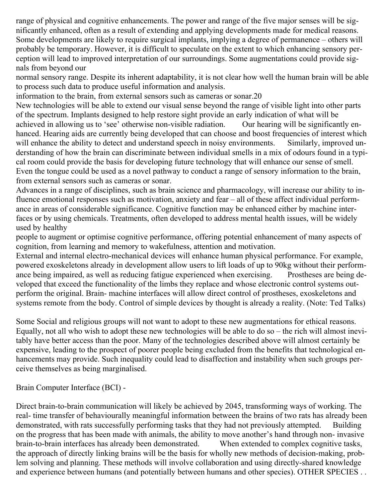range of physical and cognitive enhancements. The power and range of the five major senses will be significantly enhanced, often as a result of extending and applying developments made for medical reasons. Some developments are likely to require surgical implants, implying a degree of permanence – others will probably be temporary. However, it is difficult to speculate on the extent to which enhancing sensory perception will lead to improved interpretation of our surroundings. Some augmentations could provide signals from beyond our

normal sensory range. Despite its inherent adaptability, it is not clear how well the human brain will be able to process such data to produce useful information and analysis.

information to the brain, from external sensors such as cameras or sonar.20

New technologies will be able to extend our visual sense beyond the range of visible light into other parts of the spectrum. Implants designed to help restore sight provide an early indication of what will be achieved in allowing us to 'see' otherwise non-visible radiation. Our hearing will be significantly enhanced. Hearing aids are currently being developed that can choose and boost frequencies of interest which will enhance the ability to detect and understand speech in noisy environments. Similarly, improved understanding of how the brain can discriminate between individual smells in a mix of odours found in a typical room could provide the basis for developing future technology that will enhance our sense of smell. Even the tongue could be used as a novel pathway to conduct a range of sensory information to the brain, from external sensors such as cameras or sonar.

Advances in a range of disciplines, such as brain science and pharmacology, will increase our ability to influence emotional responses such as motivation, anxiety and fear – all of these affect individual performance in areas of considerable significance. Cognitive function may be enhanced either by machine interfaces or by using chemicals. Treatments, often developed to address mental health issues, will be widely used by healthy

people to augment or optimise cognitive performance, offering potential enhancement of many aspects of cognition, from learning and memory to wakefulness, attention and motivation.

External and internal electro-mechanical devices will enhance human physical performance. For example, powered exoskeletons already in development allow users to lift loads of up to 90kg without their performance being impaired, as well as reducing fatigue experienced when exercising. Prostheses are being developed that exceed the functionality of the limbs they replace and whose electronic control systems outperform the original. Brain- machine interfaces will allow direct control of prostheses, exoskeletons and systems remote from the body. Control of simple devices by thought is already a reality. (Note: Ted Talks)

Some Social and religious groups will not want to adopt to these new augmentations for ethical reasons. Equally, not all who wish to adopt these new technologies will be able to do so – the rich will almost inevitably have better access than the poor. Many of the technologies described above will almost certainly be expensive, leading to the prospect of poorer people being excluded from the benefits that technological enhancements may provide. Such inequality could lead to disaffection and instability when such groups perceive themselves as being marginalised.

Brain Computer Interface (BCI) -

Direct brain-to-brain communication will likely be achieved by 2045, transforming ways of working. The real- time transfer of behaviourally meaningful information between the brains of two rats has already been demonstrated, with rats successfully performing tasks that they had not previously attempted. Building on the progress that has been made with animals, the ability to move another's hand through non- invasive brain-to-brain interfaces has already been demonstrated. When extended to complex cognitive tasks, the approach of directly linking brains will be the basis for wholly new methods of decision-making, problem solving and planning. These methods will involve collaboration and using directly-shared knowledge and experience between humans (and potentially between humans and other species). OTHER SPECIES . .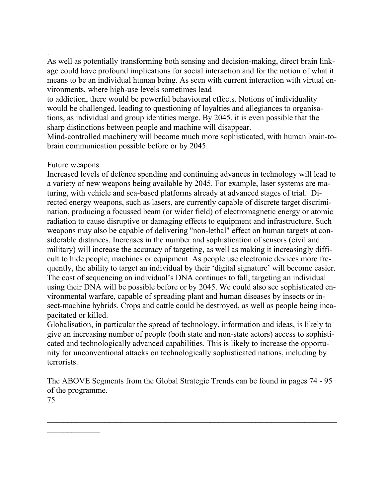As well as potentially transforming both sensing and decision-making, direct brain linkage could have profound implications for social interaction and for the notion of what it means to be an individual human being. As seen with current interaction with virtual environments, where high-use levels sometimes lead

to addiction, there would be powerful behavioural effects. Notions of individuality would be challenged, leading to questioning of loyalties and allegiances to organisations, as individual and group identities merge. By 2045, it is even possible that the sharp distinctions between people and machine will disappear.

Mind-controlled machinery will become much more sophisticated, with human brain-tobrain communication possible before or by 2045.

#### Future weapons

.

Increased levels of defence spending and continuing advances in technology will lead to a variety of new weapons being available by 2045. For example, laser systems are maturing, with vehicle and sea-based platforms already at advanced stages of trial. Directed energy weapons, such as lasers, are currently capable of discrete target discrimination, producing a focussed beam (or wider field) of electromagnetic energy or atomic radiation to cause disruptive or damaging effects to equipment and infrastructure. Such weapons may also be capable of delivering "non-lethal" effect on human targets at considerable distances. Increases in the number and sophistication of sensors (civil and military) will increase the accuracy of targeting, as well as making it increasingly difficult to hide people, machines or equipment. As people use electronic devices more frequently, the ability to target an individual by their 'digital signature' will become easier. The cost of sequencing an individual's DNA continues to fall, targeting an individual using their DNA will be possible before or by 2045. We could also see sophisticated environmental warfare, capable of spreading plant and human diseases by insects or insect-machine hybrids. Crops and cattle could be destroyed, as well as people being incapacitated or killed.

Globalisation, in particular the spread of technology, information and ideas, is likely to give an increasing number of people (both state and non-state actors) access to sophisticated and technologically advanced capabilities. This is likely to increase the opportunity for unconventional attacks on technologically sophisticated nations, including by terrorists.

The ABOVE Segments from the Global Strategic Trends can be found in pages 74 - 95 of the programme.

 $\_$ 

75

 $\frac{1}{2}$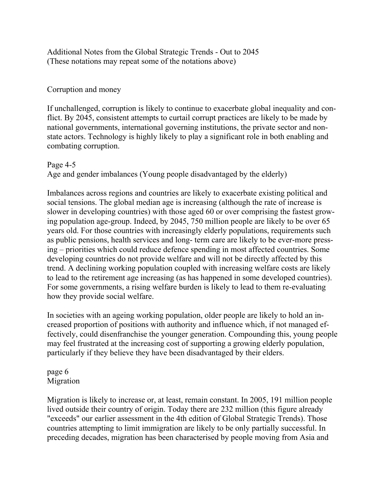Additional Notes from the Global Strategic Trends - Out to 2045 (These notations may repeat some of the notations above)

#### Corruption and money

If unchallenged, corruption is likely to continue to exacerbate global inequality and conflict. By 2045, consistent attempts to curtail corrupt practices are likely to be made by national governments, international governing institutions, the private sector and nonstate actors. Technology is highly likely to play a significant role in both enabling and combating corruption.

#### Page 4-5

Age and gender imbalances (Young people disadvantaged by the elderly)

Imbalances across regions and countries are likely to exacerbate existing political and social tensions. The global median age is increasing (although the rate of increase is slower in developing countries) with those aged 60 or over comprising the fastest growing population age-group. Indeed, by 2045, 750 million people are likely to be over 65 years old. For those countries with increasingly elderly populations, requirements such as public pensions, health services and long- term care are likely to be ever-more pressing – priorities which could reduce defence spending in most affected countries. Some developing countries do not provide welfare and will not be directly affected by this trend. A declining working population coupled with increasing welfare costs are likely to lead to the retirement age increasing (as has happened in some developed countries). For some governments, a rising welfare burden is likely to lead to them re-evaluating how they provide social welfare.

In societies with an ageing working population, older people are likely to hold an increased proportion of positions with authority and influence which, if not managed effectively, could disenfranchise the younger generation. Compounding this, young people may feel frustrated at the increasing cost of supporting a growing elderly population, particularly if they believe they have been disadvantaged by their elders.

#### page 6 Migration

Migration is likely to increase or, at least, remain constant. In 2005, 191 million people lived outside their country of origin. Today there are 232 million (this figure already "exceeds" our earlier assessment in the 4th edition of Global Strategic Trends). Those countries attempting to limit immigration are likely to be only partially successful. In preceding decades, migration has been characterised by people moving from Asia and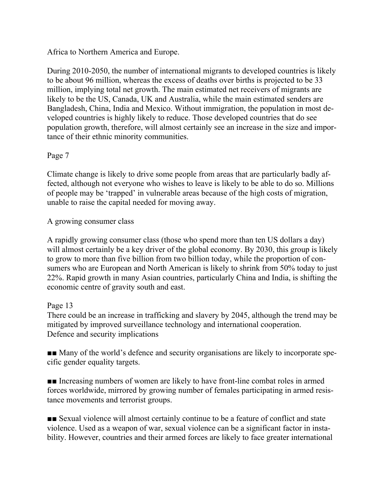Africa to Northern America and Europe.

During 2010-2050, the number of international migrants to developed countries is likely to be about 96 million, whereas the excess of deaths over births is projected to be 33 million, implying total net growth. The main estimated net receivers of migrants are likely to be the US, Canada, UK and Australia, while the main estimated senders are Bangladesh, China, India and Mexico. Without immigration, the population in most developed countries is highly likely to reduce. Those developed countries that do see population growth, therefore, will almost certainly see an increase in the size and importance of their ethnic minority communities.

### Page 7

Climate change is likely to drive some people from areas that are particularly badly affected, although not everyone who wishes to leave is likely to be able to do so. Millions of people may be 'trapped' in vulnerable areas because of the high costs of migration, unable to raise the capital needed for moving away.

### A growing consumer class

A rapidly growing consumer class (those who spend more than ten US dollars a day) will almost certainly be a key driver of the global economy. By 2030, this group is likely to grow to more than five billion from two billion today, while the proportion of consumers who are European and North American is likely to shrink from 50% today to just 22%. Rapid growth in many Asian countries, particularly China and India, is shifting the economic centre of gravity south and east.

#### Page 13

There could be an increase in trafficking and slavery by 2045, although the trend may be mitigated by improved surveillance technology and international cooperation. Defence and security implications

■■ Many of the world's defence and security organisations are likely to incorporate specific gender equality targets.

■■ Increasing numbers of women are likely to have front-line combat roles in armed forces worldwide, mirrored by growing number of females participating in armed resistance movements and terrorist groups.

■■ Sexual violence will almost certainly continue to be a feature of conflict and state violence. Used as a weapon of war, sexual violence can be a significant factor in instability. However, countries and their armed forces are likely to face greater international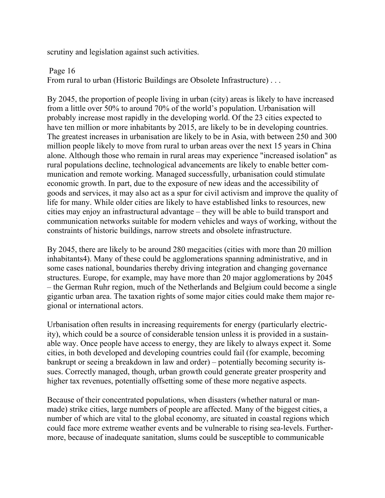scrutiny and legislation against such activities.

#### Page 16

From rural to urban (Historic Buildings are Obsolete Infrastructure) . . .

By 2045, the proportion of people living in urban (city) areas is likely to have increased from a little over 50% to around 70% of the world's population. Urbanisation will probably increase most rapidly in the developing world. Of the 23 cities expected to have ten million or more inhabitants by 2015, are likely to be in developing countries. The greatest increases in urbanisation are likely to be in Asia, with between 250 and 300 million people likely to move from rural to urban areas over the next 15 years in China alone. Although those who remain in rural areas may experience "increased isolation" as rural populations decline, technological advancements are likely to enable better communication and remote working. Managed successfully, urbanisation could stimulate economic growth. In part, due to the exposure of new ideas and the accessibility of goods and services, it may also act as a spur for civil activism and improve the quality of life for many. While older cities are likely to have established links to resources, new cities may enjoy an infrastructural advantage – they will be able to build transport and communication networks suitable for modern vehicles and ways of working, without the constraints of historic buildings, narrow streets and obsolete infrastructure.

By 2045, there are likely to be around 280 megacities (cities with more than 20 million inhabitants4). Many of these could be agglomerations spanning administrative, and in some cases national, boundaries thereby driving integration and changing governance structures. Europe, for example, may have more than 20 major agglomerations by 2045 – the German Ruhr region, much of the Netherlands and Belgium could become a single gigantic urban area. The taxation rights of some major cities could make them major regional or international actors.

Urbanisation often results in increasing requirements for energy (particularly electricity), which could be a source of considerable tension unless it is provided in a sustainable way. Once people have access to energy, they are likely to always expect it. Some cities, in both developed and developing countries could fail (for example, becoming bankrupt or seeing a breakdown in law and order) – potentially becoming security issues. Correctly managed, though, urban growth could generate greater prosperity and higher tax revenues, potentially offsetting some of these more negative aspects.

Because of their concentrated populations, when disasters (whether natural or manmade) strike cities, large numbers of people are affected. Many of the biggest cities, a number of which are vital to the global economy, are situated in coastal regions which could face more extreme weather events and be vulnerable to rising sea-levels. Furthermore, because of inadequate sanitation, slums could be susceptible to communicable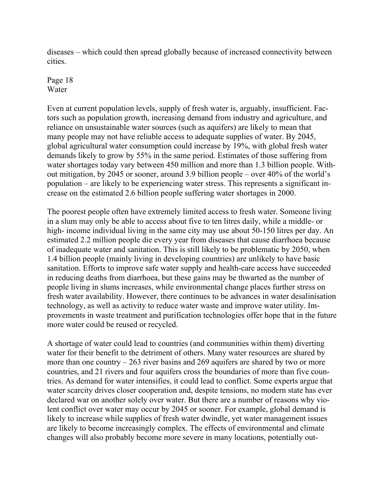diseases – which could then spread globally because of increased connectivity between cities.

Page 18 Water

Even at current population levels, supply of fresh water is, arguably, insufficient. Factors such as population growth, increasing demand from industry and agriculture, and reliance on unsustainable water sources (such as aquifers) are likely to mean that many people may not have reliable access to adequate supplies of water. By 2045, global agricultural water consumption could increase by 19%, with global fresh water demands likely to grow by 55% in the same period. Estimates of those suffering from water shortages today vary between 450 million and more than 1.3 billion people. Without mitigation, by 2045 or sooner, around 3.9 billion people – over 40% of the world's population – are likely to be experiencing water stress. This represents a significant increase on the estimated 2.6 billion people suffering water shortages in 2000.

The poorest people often have extremely limited access to fresh water. Someone living in a slum may only be able to access about five to ten litres daily, while a middle- or high- income individual living in the same city may use about 50-150 litres per day. An estimated 2.2 million people die every year from diseases that cause diarrhoea because of inadequate water and sanitation. This is still likely to be problematic by 2050, when 1.4 billion people (mainly living in developing countries) are unlikely to have basic sanitation. Efforts to improve safe water supply and health-care access have succeeded in reducing deaths from diarrhoea, but these gains may be thwarted as the number of people living in slums increases, while environmental change places further stress on fresh water availability. However, there continues to be advances in water desalinisation technology, as well as activity to reduce water waste and improve water utility. Improvements in waste treatment and purification technologies offer hope that in the future more water could be reused or recycled.

A shortage of water could lead to countries (and communities within them) diverting water for their benefit to the detriment of others. Many water resources are shared by more than one country – 263 river basins and 269 aquifers are shared by two or more countries, and 21 rivers and four aquifers cross the boundaries of more than five countries. As demand for water intensifies, it could lead to conflict. Some experts argue that water scarcity drives closer cooperation and, despite tensions, no modern state has ever declared war on another solely over water. But there are a number of reasons why violent conflict over water may occur by 2045 or sooner. For example, global demand is likely to increase while supplies of fresh water dwindle, yet water management issues are likely to become increasingly complex. The effects of environmental and climate changes will also probably become more severe in many locations, potentially out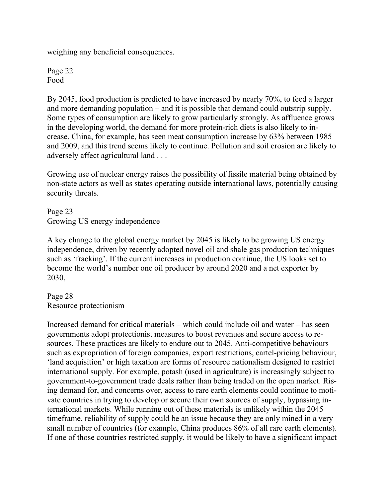weighing any beneficial consequences.

Page 22 Food

By 2045, food production is predicted to have increased by nearly 70%, to feed a larger and more demanding population – and it is possible that demand could outstrip supply. Some types of consumption are likely to grow particularly strongly. As affluence grows in the developing world, the demand for more protein-rich diets is also likely to increase. China, for example, has seen meat consumption increase by 63% between 1985 and 2009, and this trend seems likely to continue. Pollution and soil erosion are likely to adversely affect agricultural land . . .

Growing use of nuclear energy raises the possibility of fissile material being obtained by non-state actors as well as states operating outside international laws, potentially causing security threats.

Page 23 Growing US energy independence

A key change to the global energy market by 2045 is likely to be growing US energy independence, driven by recently adopted novel oil and shale gas production techniques such as 'fracking'. If the current increases in production continue, the US looks set to become the world's number one oil producer by around 2020 and a net exporter by 2030,

Page 28 Resource protectionism

Increased demand for critical materials – which could include oil and water – has seen governments adopt protectionist measures to boost revenues and secure access to resources. These practices are likely to endure out to 2045. Anti-competitive behaviours such as expropriation of foreign companies, export restrictions, cartel-pricing behaviour, 'land acquisition' or high taxation are forms of resource nationalism designed to restrict international supply. For example, potash (used in agriculture) is increasingly subject to government-to-government trade deals rather than being traded on the open market. Rising demand for, and concerns over, access to rare earth elements could continue to motivate countries in trying to develop or secure their own sources of supply, bypassing international markets. While running out of these materials is unlikely within the 2045 timeframe, reliability of supply could be an issue because they are only mined in a very small number of countries (for example, China produces 86% of all rare earth elements). If one of those countries restricted supply, it would be likely to have a significant impact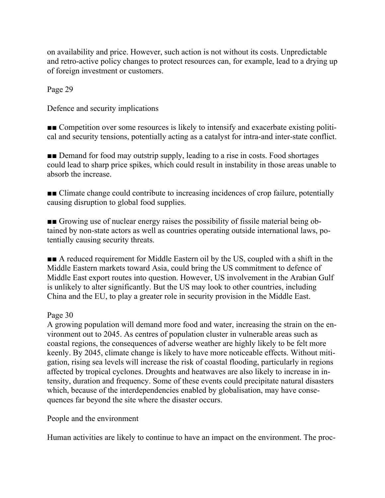on availability and price. However, such action is not without its costs. Unpredictable and retro-active policy changes to protect resources can, for example, lead to a drying up of foreign investment or customers.

Page 29

Defence and security implications

■■ Competition over some resources is likely to intensify and exacerbate existing political and security tensions, potentially acting as a catalyst for intra-and inter-state conflict.

■■ Demand for food may outstrip supply, leading to a rise in costs. Food shortages could lead to sharp price spikes, which could result in instability in those areas unable to absorb the increase.

■■ Climate change could contribute to increasing incidences of crop failure, potentially causing disruption to global food supplies.

■■ Growing use of nuclear energy raises the possibility of fissile material being obtained by non-state actors as well as countries operating outside international laws, potentially causing security threats.

■■ A reduced requirement for Middle Eastern oil by the US, coupled with a shift in the Middle Eastern markets toward Asia, could bring the US commitment to defence of Middle East export routes into question. However, US involvement in the Arabian Gulf is unlikely to alter significantly. But the US may look to other countries, including China and the EU, to play a greater role in security provision in the Middle East.

#### Page 30

A growing population will demand more food and water, increasing the strain on the environment out to 2045. As centres of population cluster in vulnerable areas such as coastal regions, the consequences of adverse weather are highly likely to be felt more keenly. By 2045, climate change is likely to have more noticeable effects. Without mitigation, rising sea levels will increase the risk of coastal flooding, particularly in regions affected by tropical cyclones. Droughts and heatwaves are also likely to increase in intensity, duration and frequency. Some of these events could precipitate natural disasters which, because of the interdependencies enabled by globalisation, may have consequences far beyond the site where the disaster occurs.

People and the environment

Human activities are likely to continue to have an impact on the environment. The proc-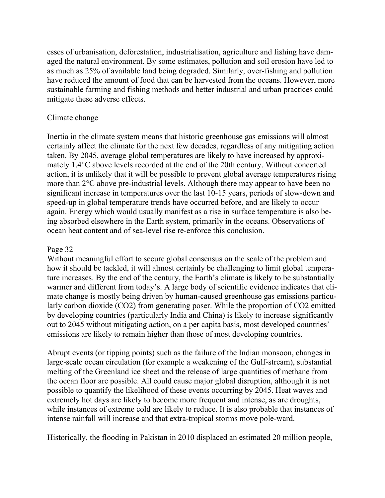esses of urbanisation, deforestation, industrialisation, agriculture and fishing have damaged the natural environment. By some estimates, pollution and soil erosion have led to as much as 25% of available land being degraded. Similarly, over-fishing and pollution have reduced the amount of food that can be harvested from the oceans. However, more sustainable farming and fishing methods and better industrial and urban practices could mitigate these adverse effects.

#### Climate change

Inertia in the climate system means that historic greenhouse gas emissions will almost certainly affect the climate for the next few decades, regardless of any mitigating action taken. By 2045, average global temperatures are likely to have increased by approximately 1.4°C above levels recorded at the end of the 20th century. Without concerted action, it is unlikely that it will be possible to prevent global average temperatures rising more than 2°C above pre-industrial levels. Although there may appear to have been no significant increase in temperatures over the last 10-15 years, periods of slow-down and speed-up in global temperature trends have occurred before, and are likely to occur again. Energy which would usually manifest as a rise in surface temperature is also being absorbed elsewhere in the Earth system, primarily in the oceans. Observations of ocean heat content and of sea-level rise re-enforce this conclusion.

#### Page 32

Without meaningful effort to secure global consensus on the scale of the problem and how it should be tackled, it will almost certainly be challenging to limit global temperature increases. By the end of the century, the Earth's climate is likely to be substantially warmer and different from today's. A large body of scientific evidence indicates that climate change is mostly being driven by human-caused greenhouse gas emissions particularly carbon dioxide (CO2) from generating poser. While the proportion of CO2 emitted by developing countries (particularly India and China) is likely to increase significantly out to 2045 without mitigating action, on a per capita basis, most developed countries' emissions are likely to remain higher than those of most developing countries.

Abrupt events (or tipping points) such as the failure of the Indian monsoon, changes in large-scale ocean circulation (for example a weakening of the Gulf-stream), substantial melting of the Greenland ice sheet and the release of large quantities of methane from the ocean floor are possible. All could cause major global disruption, although it is not possible to quantify the likelihood of these events occurring by 2045. Heat waves and extremely hot days are likely to become more frequent and intense, as are droughts, while instances of extreme cold are likely to reduce. It is also probable that instances of intense rainfall will increase and that extra-tropical storms move pole-ward.

Historically, the flooding in Pakistan in 2010 displaced an estimated 20 million people,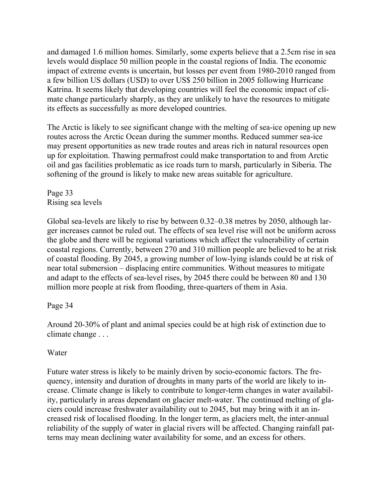and damaged 1.6 million homes. Similarly, some experts believe that a 2.5cm rise in sea levels would displace 50 million people in the coastal regions of India. The economic impact of extreme events is uncertain, but losses per event from 1980-2010 ranged from a few billion US dollars (USD) to over US\$ 250 billion in 2005 following Hurricane Katrina. It seems likely that developing countries will feel the economic impact of climate change particularly sharply, as they are unlikely to have the resources to mitigate its effects as successfully as more developed countries.

The Arctic is likely to see significant change with the melting of sea-ice opening up new routes across the Arctic Ocean during the summer months. Reduced summer sea-ice may present opportunities as new trade routes and areas rich in natural resources open up for exploitation. Thawing permafrost could make transportation to and from Arctic oil and gas facilities problematic as ice roads turn to marsh, particularly in Siberia. The softening of the ground is likely to make new areas suitable for agriculture.

Page 33 Rising sea levels

Global sea-levels are likely to rise by between 0.32–0.38 metres by 2050, although larger increases cannot be ruled out. The effects of sea level rise will not be uniform across the globe and there will be regional variations which affect the vulnerability of certain coastal regions. Currently, between 270 and 310 million people are believed to be at risk of coastal flooding. By 2045, a growing number of low-lying islands could be at risk of near total submersion – displacing entire communities. Without measures to mitigate and adapt to the effects of sea-level rises, by 2045 there could be between 80 and 130 million more people at risk from flooding, three-quarters of them in Asia.

#### Page 34

Around 20-30% of plant and animal species could be at high risk of extinction due to climate change . . .

#### Water

Future water stress is likely to be mainly driven by socio-economic factors. The frequency, intensity and duration of droughts in many parts of the world are likely to increase. Climate change is likely to contribute to longer-term changes in water availability, particularly in areas dependant on glacier melt-water. The continued melting of glaciers could increase freshwater availability out to 2045, but may bring with it an increased risk of localised flooding. In the longer term, as glaciers melt, the inter-annual reliability of the supply of water in glacial rivers will be affected. Changing rainfall patterns may mean declining water availability for some, and an excess for others.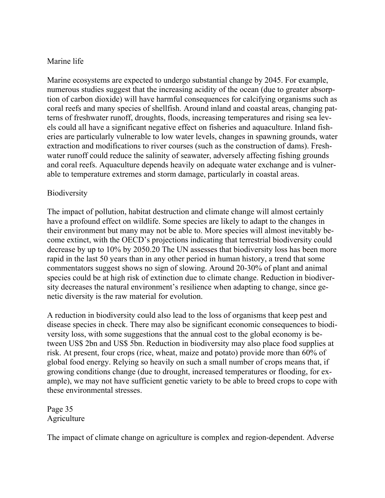### Marine life

Marine ecosystems are expected to undergo substantial change by 2045. For example, numerous studies suggest that the increasing acidity of the ocean (due to greater absorption of carbon dioxide) will have harmful consequences for calcifying organisms such as coral reefs and many species of shellfish. Around inland and coastal areas, changing patterns of freshwater runoff, droughts, floods, increasing temperatures and rising sea levels could all have a significant negative effect on fisheries and aquaculture. Inland fisheries are particularly vulnerable to low water levels, changes in spawning grounds, water extraction and modifications to river courses (such as the construction of dams). Freshwater runoff could reduce the salinity of seawater, adversely affecting fishing grounds and coral reefs. Aquaculture depends heavily on adequate water exchange and is vulnerable to temperature extremes and storm damage, particularly in coastal areas.

### Biodiversity

The impact of pollution, habitat destruction and climate change will almost certainly have a profound effect on wildlife. Some species are likely to adapt to the changes in their environment but many may not be able to. More species will almost inevitably become extinct, with the OECD's projections indicating that terrestrial biodiversity could decrease by up to 10% by 2050.20 The UN assesses that biodiversity loss has been more rapid in the last 50 years than in any other period in human history, a trend that some commentators suggest shows no sign of slowing. Around 20-30% of plant and animal species could be at high risk of extinction due to climate change. Reduction in biodiversity decreases the natural environment's resilience when adapting to change, since genetic diversity is the raw material for evolution.

A reduction in biodiversity could also lead to the loss of organisms that keep pest and disease species in check. There may also be significant economic consequences to biodiversity loss, with some suggestions that the annual cost to the global economy is between US\$ 2bn and US\$ 5bn. Reduction in biodiversity may also place food supplies at risk. At present, four crops (rice, wheat, maize and potato) provide more than 60% of global food energy. Relying so heavily on such a small number of crops means that, if growing conditions change (due to drought, increased temperatures or flooding, for example), we may not have sufficient genetic variety to be able to breed crops to cope with these environmental stresses.

Page 35 Agriculture

The impact of climate change on agriculture is complex and region-dependent. Adverse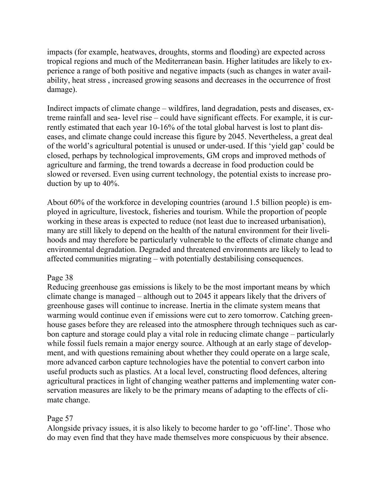impacts (for example, heatwaves, droughts, storms and flooding) are expected across tropical regions and much of the Mediterranean basin. Higher latitudes are likely to experience a range of both positive and negative impacts (such as changes in water availability, heat stress , increased growing seasons and decreases in the occurrence of frost damage).

Indirect impacts of climate change – wildfires, land degradation, pests and diseases, extreme rainfall and sea- level rise – could have significant effects. For example, it is currently estimated that each year 10-16% of the total global harvest is lost to plant diseases, and climate change could increase this figure by 2045. Nevertheless, a great deal of the world's agricultural potential is unused or under-used. If this 'yield gap' could be closed, perhaps by technological improvements, GM crops and improved methods of agriculture and farming, the trend towards a decrease in food production could be slowed or reversed. Even using current technology, the potential exists to increase production by up to 40%.

About 60% of the workforce in developing countries (around 1.5 billion people) is employed in agriculture, livestock, fisheries and tourism. While the proportion of people working in these areas is expected to reduce (not least due to increased urbanisation), many are still likely to depend on the health of the natural environment for their livelihoods and may therefore be particularly vulnerable to the effects of climate change and environmental degradation. Degraded and threatened environments are likely to lead to affected communities migrating – with potentially destabilising consequences.

#### Page 38

Reducing greenhouse gas emissions is likely to be the most important means by which climate change is managed – although out to 2045 it appears likely that the drivers of greenhouse gases will continue to increase. Inertia in the climate system means that warming would continue even if emissions were cut to zero tomorrow. Catching greenhouse gases before they are released into the atmosphere through techniques such as carbon capture and storage could play a vital role in reducing climate change – particularly while fossil fuels remain a major energy source. Although at an early stage of development, and with questions remaining about whether they could operate on a large scale, more advanced carbon capture technologies have the potential to convert carbon into useful products such as plastics. At a local level, constructing flood defences, altering agricultural practices in light of changing weather patterns and implementing water conservation measures are likely to be the primary means of adapting to the effects of climate change.

#### Page 57

Alongside privacy issues, it is also likely to become harder to go 'off-line'. Those who do may even find that they have made themselves more conspicuous by their absence.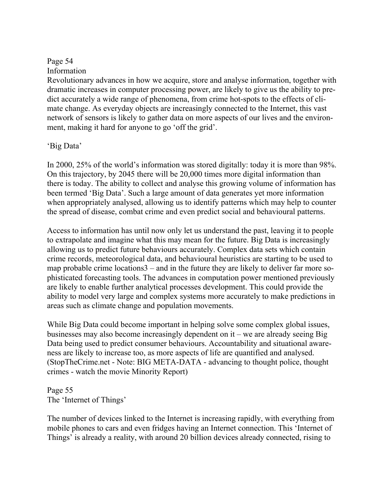### Page 54

Information

Revolutionary advances in how we acquire, store and analyse information, together with dramatic increases in computer processing power, are likely to give us the ability to predict accurately a wide range of phenomena, from crime hot-spots to the effects of climate change. As everyday objects are increasingly connected to the Internet, this vast network of sensors is likely to gather data on more aspects of our lives and the environment, making it hard for anyone to go 'off the grid'.

### 'Big Data'

In 2000, 25% of the world's information was stored digitally: today it is more than 98%. On this trajectory, by 2045 there will be 20,000 times more digital information than there is today. The ability to collect and analyse this growing volume of information has been termed 'Big Data'. Such a large amount of data generates yet more information when appropriately analysed, allowing us to identify patterns which may help to counter the spread of disease, combat crime and even predict social and behavioural patterns.

Access to information has until now only let us understand the past, leaving it to people to extrapolate and imagine what this may mean for the future. Big Data is increasingly allowing us to predict future behaviours accurately. Complex data sets which contain crime records, meteorological data, and behavioural heuristics are starting to be used to map probable crime locations3 – and in the future they are likely to deliver far more sophisticated forecasting tools. The advances in computation power mentioned previously are likely to enable further analytical processes development. This could provide the ability to model very large and complex systems more accurately to make predictions in areas such as climate change and population movements.

While Big Data could become important in helping solve some complex global issues, businesses may also become increasingly dependent on it – we are already seeing Big Data being used to predict consumer behaviours. Accountability and situational awareness are likely to increase too, as more aspects of life are quantified and analysed. (StopTheCrime.net - Note: BIG META-DATA - advancing to thought police, thought crimes - watch the movie Minority Report)

Page 55 The 'Internet of Things'

The number of devices linked to the Internet is increasing rapidly, with everything from mobile phones to cars and even fridges having an Internet connection. This 'Internet of Things' is already a reality, with around 20 billion devices already connected, rising to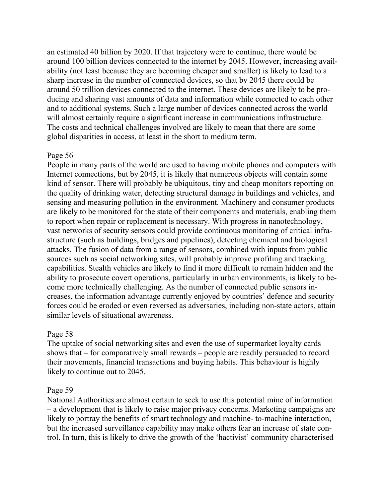an estimated 40 billion by 2020. If that trajectory were to continue, there would be around 100 billion devices connected to the internet by 2045. However, increasing availability (not least because they are becoming cheaper and smaller) is likely to lead to a sharp increase in the number of connected devices, so that by 2045 there could be around 50 trillion devices connected to the internet. These devices are likely to be producing and sharing vast amounts of data and information while connected to each other and to additional systems. Such a large number of devices connected across the world will almost certainly require a significant increase in communications infrastructure. The costs and technical challenges involved are likely to mean that there are some global disparities in access, at least in the short to medium term.

#### Page 56

People in many parts of the world are used to having mobile phones and computers with Internet connections, but by 2045, it is likely that numerous objects will contain some kind of sensor. There will probably be ubiquitous, tiny and cheap monitors reporting on the quality of drinking water, detecting structural damage in buildings and vehicles, and sensing and measuring pollution in the environment. Machinery and consumer products are likely to be monitored for the state of their components and materials, enabling them to report when repair or replacement is necessary. With progress in nanotechnology, vast networks of security sensors could provide continuous monitoring of critical infrastructure (such as buildings, bridges and pipelines), detecting chemical and biological attacks. The fusion of data from a range of sensors, combined with inputs from public sources such as social networking sites, will probably improve profiling and tracking capabilities. Stealth vehicles are likely to find it more difficult to remain hidden and the ability to prosecute covert operations, particularly in urban environments, is likely to become more technically challenging. As the number of connected public sensors increases, the information advantage currently enjoyed by countries' defence and security forces could be eroded or even reversed as adversaries, including non-state actors, attain similar levels of situational awareness.

#### Page 58

The uptake of social networking sites and even the use of supermarket loyalty cards shows that – for comparatively small rewards – people are readily persuaded to record their movements, financial transactions and buying habits. This behaviour is highly likely to continue out to 2045.

#### Page 59

National Authorities are almost certain to seek to use this potential mine of information – a development that is likely to raise major privacy concerns. Marketing campaigns are likely to portray the benefits of smart technology and machine- to-machine interaction, but the increased surveillance capability may make others fear an increase of state control. In turn, this is likely to drive the growth of the 'hactivist' community characterised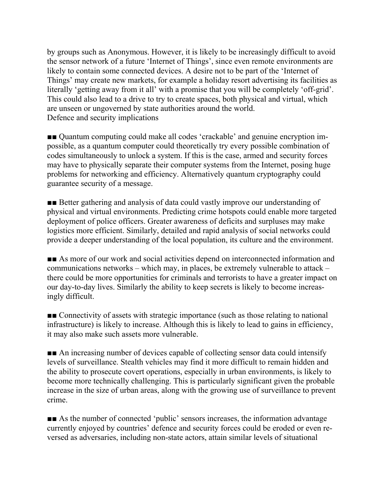by groups such as Anonymous. However, it is likely to be increasingly difficult to avoid the sensor network of a future 'Internet of Things', since even remote environments are likely to contain some connected devices. A desire not to be part of the 'Internet of Things' may create new markets, for example a holiday resort advertising its facilities as literally 'getting away from it all' with a promise that you will be completely 'off-grid'. This could also lead to a drive to try to create spaces, both physical and virtual, which are unseen or ungoverned by state authorities around the world. Defence and security implications

■■ Quantum computing could make all codes 'crackable' and genuine encryption impossible, as a quantum computer could theoretically try every possible combination of codes simultaneously to unlock a system. If this is the case, armed and security forces may have to physically separate their computer systems from the Internet, posing huge problems for networking and efficiency. Alternatively quantum cryptography could guarantee security of a message.

■■ Better gathering and analysis of data could vastly improve our understanding of physical and virtual environments. Predicting crime hotspots could enable more targeted deployment of police officers. Greater awareness of deficits and surpluses may make logistics more efficient. Similarly, detailed and rapid analysis of social networks could provide a deeper understanding of the local population, its culture and the environment.

■■ As more of our work and social activities depend on interconnected information and communications networks – which may, in places, be extremely vulnerable to attack – there could be more opportunities for criminals and terrorists to have a greater impact on our day-to-day lives. Similarly the ability to keep secrets is likely to become increasingly difficult.

■■ Connectivity of assets with strategic importance (such as those relating to national infrastructure) is likely to increase. Although this is likely to lead to gains in efficiency, it may also make such assets more vulnerable.

■■ An increasing number of devices capable of collecting sensor data could intensify levels of surveillance. Stealth vehicles may find it more difficult to remain hidden and the ability to prosecute covert operations, especially in urban environments, is likely to become more technically challenging. This is particularly significant given the probable increase in the size of urban areas, along with the growing use of surveillance to prevent crime.

■■ As the number of connected 'public' sensors increases, the information advantage currently enjoyed by countries' defence and security forces could be eroded or even reversed as adversaries, including non-state actors, attain similar levels of situational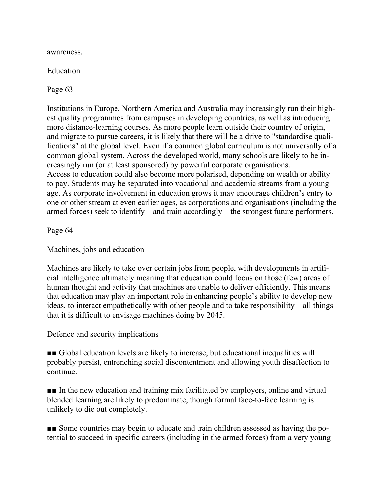awareness.

Education

Page 63

Institutions in Europe, Northern America and Australia may increasingly run their highest quality programmes from campuses in developing countries, as well as introducing more distance-learning courses. As more people learn outside their country of origin, and migrate to pursue careers, it is likely that there will be a drive to "standardise qualifications" at the global level. Even if a common global curriculum is not universally of a common global system. Across the developed world, many schools are likely to be increasingly run (or at least sponsored) by powerful corporate organisations. Access to education could also become more polarised, depending on wealth or ability to pay. Students may be separated into vocational and academic streams from a young age. As corporate involvement in education grows it may encourage children's entry to one or other stream at even earlier ages, as corporations and organisations (including the armed forces) seek to identify – and train accordingly – the strongest future performers.

Page 64

Machines, jobs and education

Machines are likely to take over certain jobs from people, with developments in artificial intelligence ultimately meaning that education could focus on those (few) areas of human thought and activity that machines are unable to deliver efficiently. This means that education may play an important role in enhancing people's ability to develop new ideas, to interact empathetically with other people and to take responsibility – all things that it is difficult to envisage machines doing by 2045.

Defence and security implications

■■ Global education levels are likely to increase, but educational inequalities will probably persist, entrenching social discontentment and allowing youth disaffection to continue.

■■ In the new education and training mix facilitated by employers, online and virtual blended learning are likely to predominate, though formal face-to-face learning is unlikely to die out completely.

■■ Some countries may begin to educate and train children assessed as having the potential to succeed in specific careers (including in the armed forces) from a very young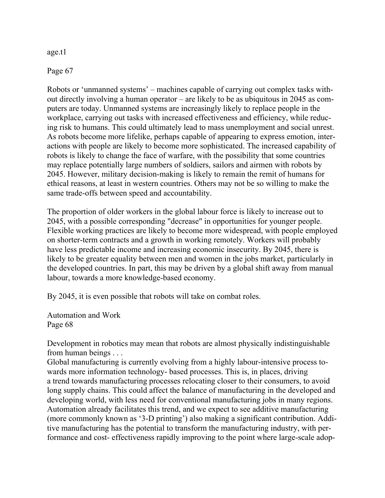age.t1

Page 67

Robots or 'unmanned systems' – machines capable of carrying out complex tasks without directly involving a human operator – are likely to be as ubiquitous in 2045 as computers are today. Unmanned systems are increasingly likely to replace people in the workplace, carrying out tasks with increased effectiveness and efficiency, while reducing risk to humans. This could ultimately lead to mass unemployment and social unrest. As robots become more lifelike, perhaps capable of appearing to express emotion, interactions with people are likely to become more sophisticated. The increased capability of robots is likely to change the face of warfare, with the possibility that some countries may replace potentially large numbers of soldiers, sailors and airmen with robots by 2045. However, military decision-making is likely to remain the remit of humans for ethical reasons, at least in western countries. Others may not be so willing to make the same trade-offs between speed and accountability.

The proportion of older workers in the global labour force is likely to increase out to 2045, with a possible corresponding "decrease" in opportunities for younger people. Flexible working practices are likely to become more widespread, with people employed on shorter-term contracts and a growth in working remotely. Workers will probably have less predictable income and increasing economic insecurity. By 2045, there is likely to be greater equality between men and women in the jobs market, particularly in the developed countries. In part, this may be driven by a global shift away from manual labour, towards a more knowledge-based economy.

By 2045, it is even possible that robots will take on combat roles.

Automation and Work Page 68

Development in robotics may mean that robots are almost physically indistinguishable from human beings . . .

Global manufacturing is currently evolving from a highly labour-intensive process towards more information technology- based processes. This is, in places, driving a trend towards manufacturing processes relocating closer to their consumers, to avoid long supply chains. This could affect the balance of manufacturing in the developed and developing world, with less need for conventional manufacturing jobs in many regions. Automation already facilitates this trend, and we expect to see additive manufacturing (more commonly known as '3-D printing') also making a significant contribution. Additive manufacturing has the potential to transform the manufacturing industry, with performance and cost- effectiveness rapidly improving to the point where large-scale adop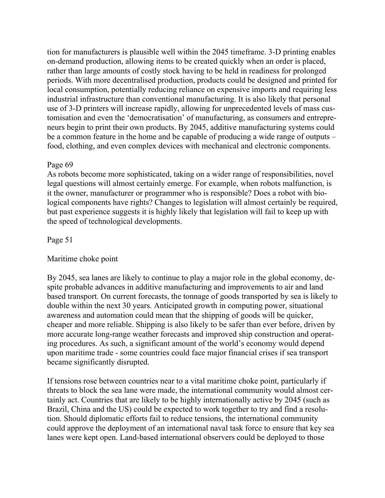tion for manufacturers is plausible well within the 2045 timeframe. 3-D printing enables on-demand production, allowing items to be created quickly when an order is placed, rather than large amounts of costly stock having to be held in readiness for prolonged periods. With more decentralised production, products could be designed and printed for local consumption, potentially reducing reliance on expensive imports and requiring less industrial infrastructure than conventional manufacturing. It is also likely that personal use of 3-D printers will increase rapidly, allowing for unprecedented levels of mass customisation and even the 'democratisation' of manufacturing, as consumers and entrepreneurs begin to print their own products. By 2045, additive manufacturing systems could be a common feature in the home and be capable of producing a wide range of outputs – food, clothing, and even complex devices with mechanical and electronic components.

#### Page 69

As robots become more sophisticated, taking on a wider range of responsibilities, novel legal questions will almost certainly emerge. For example, when robots malfunction, is it the owner, manufacturer or programmer who is responsible? Does a robot with biological components have rights? Changes to legislation will almost certainly be required, but past experience suggests it is highly likely that legislation will fail to keep up with the speed of technological developments.

Page 51

#### Maritime choke point

By 2045, sea lanes are likely to continue to play a major role in the global economy, despite probable advances in additive manufacturing and improvements to air and land based transport. On current forecasts, the tonnage of goods transported by sea is likely to double within the next 30 years. Anticipated growth in computing power, situational awareness and automation could mean that the shipping of goods will be quicker, cheaper and more reliable. Shipping is also likely to be safer than ever before, driven by more accurate long-range weather forecasts and improved ship construction and operating procedures. As such, a significant amount of the world's economy would depend upon maritime trade - some countries could face major financial crises if sea transport became significantly disrupted.

If tensions rose between countries near to a vital maritime choke point, particularly if threats to block the sea lane were made, the international community would almost certainly act. Countries that are likely to be highly internationally active by 2045 (such as Brazil, China and the US) could be expected to work together to try and find a resolution. Should diplomatic efforts fail to reduce tensions, the international community could approve the deployment of an international naval task force to ensure that key sea lanes were kept open. Land-based international observers could be deployed to those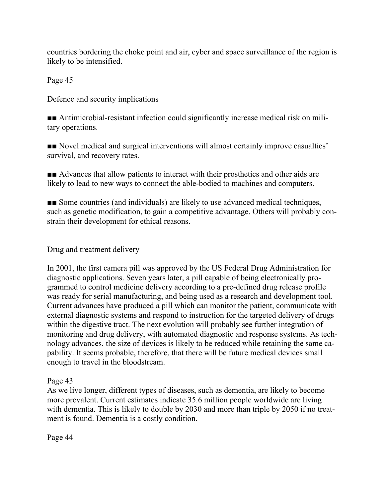countries bordering the choke point and air, cyber and space surveillance of the region is likely to be intensified.

Page 45

Defence and security implications

■■ Antimicrobial-resistant infection could significantly increase medical risk on military operations.

■■ Novel medical and surgical interventions will almost certainly improve casualties' survival, and recovery rates.

■■ Advances that allow patients to interact with their prosthetics and other aids are likely to lead to new ways to connect the able-bodied to machines and computers.

■■ Some countries (and individuals) are likely to use advanced medical techniques, such as genetic modification, to gain a competitive advantage. Others will probably constrain their development for ethical reasons.

Drug and treatment delivery

In 2001, the first camera pill was approved by the US Federal Drug Administration for diagnostic applications. Seven years later, a pill capable of being electronically programmed to control medicine delivery according to a pre-defined drug release profile was ready for serial manufacturing, and being used as a research and development tool. Current advances have produced a pill which can monitor the patient, communicate with external diagnostic systems and respond to instruction for the targeted delivery of drugs within the digestive tract. The next evolution will probably see further integration of monitoring and drug delivery, with automated diagnostic and response systems. As technology advances, the size of devices is likely to be reduced while retaining the same capability. It seems probable, therefore, that there will be future medical devices small enough to travel in the bloodstream.

#### Page 43

As we live longer, different types of diseases, such as dementia, are likely to become more prevalent. Current estimates indicate 35.6 million people worldwide are living with dementia. This is likely to double by 2030 and more than triple by 2050 if no treatment is found. Dementia is a costly condition.

Page 44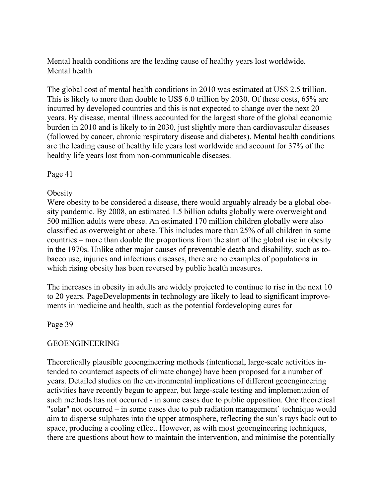Mental health conditions are the leading cause of healthy years lost worldwide. Mental health

The global cost of mental health conditions in 2010 was estimated at US\$ 2.5 trillion. This is likely to more than double to US\$ 6.0 trillion by 2030. Of these costs, 65% are incurred by developed countries and this is not expected to change over the next 20 years. By disease, mental illness accounted for the largest share of the global economic burden in 2010 and is likely to in 2030, just slightly more than cardiovascular diseases (followed by cancer, chronic respiratory disease and diabetes). Mental health conditions are the leading cause of healthy life years lost worldwide and account for 37% of the healthy life years lost from non-communicable diseases.

Page 41

#### **Obesity**

Were obesity to be considered a disease, there would arguably already be a global obesity pandemic. By 2008, an estimated 1.5 billion adults globally were overweight and 500 million adults were obese. An estimated 170 million children globally were also classified as overweight or obese. This includes more than 25% of all children in some countries – more than double the proportions from the start of the global rise in obesity in the 1970s. Unlike other major causes of preventable death and disability, such as tobacco use, injuries and infectious diseases, there are no examples of populations in which rising obesity has been reversed by public health measures.

The increases in obesity in adults are widely projected to continue to rise in the next 10 to 20 years. PageDevelopments in technology are likely to lead to significant improvements in medicine and health, such as the potential fordeveloping cures for

#### Page 39

#### GEOENGINEERING

Theoretically plausible geoengineering methods (intentional, large-scale activities intended to counteract aspects of climate change) have been proposed for a number of years. Detailed studies on the environmental implications of different geoengineering activities have recently begun to appear, but large-scale testing and implementation of such methods has not occurred - in some cases due to public opposition. One theoretical "solar" not occurred – in some cases due to pub radiation management' technique would aim to disperse sulphates into the upper atmosphere, reflecting the sun's rays back out to space, producing a cooling effect. However, as with most geoengineering techniques, there are questions about how to maintain the intervention, and minimise the potentially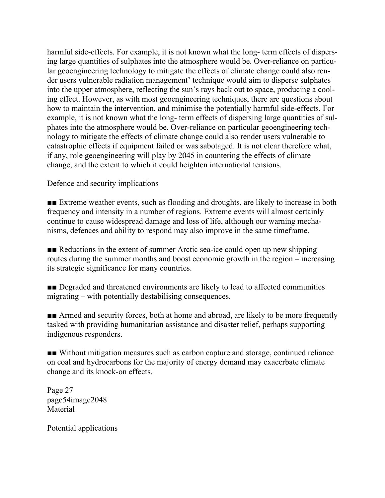harmful side-effects. For example, it is not known what the long- term effects of dispersing large quantities of sulphates into the atmosphere would be. Over-reliance on particular geoengineering technology to mitigate the effects of climate change could also render users vulnerable radiation management' technique would aim to disperse sulphates into the upper atmosphere, reflecting the sun's rays back out to space, producing a cooling effect. However, as with most geoengineering techniques, there are questions about how to maintain the intervention, and minimise the potentially harmful side-effects. For example, it is not known what the long- term effects of dispersing large quantities of sulphates into the atmosphere would be. Over-reliance on particular geoengineering technology to mitigate the effects of climate change could also render users vulnerable to catastrophic effects if equipment failed or was sabotaged. It is not clear therefore what, if any, role geoengineering will play by 2045 in countering the effects of climate change, and the extent to which it could heighten international tensions.

Defence and security implications

■■ Extreme weather events, such as flooding and droughts, are likely to increase in both frequency and intensity in a number of regions. Extreme events will almost certainly continue to cause widespread damage and loss of life, although our warning mechanisms, defences and ability to respond may also improve in the same timeframe.

■■ Reductions in the extent of summer Arctic sea-ice could open up new shipping routes during the summer months and boost economic growth in the region – increasing its strategic significance for many countries.

■■ Degraded and threatened environments are likely to lead to affected communities migrating – with potentially destabilising consequences.

■■ Armed and security forces, both at home and abroad, are likely to be more frequently tasked with providing humanitarian assistance and disaster relief, perhaps supporting indigenous responders.

■■ Without mitigation measures such as carbon capture and storage, continued reliance on coal and hydrocarbons for the majority of energy demand may exacerbate climate change and its knock-on effects.

Page 27 page54image2048 Material

Potential applications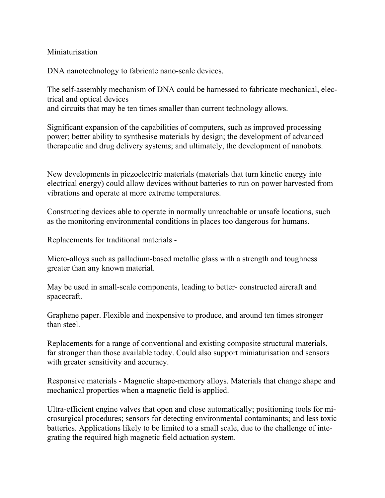#### **Miniaturisation**

DNA nanotechnology to fabricate nano-scale devices.

The self-assembly mechanism of DNA could be harnessed to fabricate mechanical, electrical and optical devices and circuits that may be ten times smaller than current technology allows.

Significant expansion of the capabilities of computers, such as improved processing power; better ability to synthesise materials by design; the development of advanced therapeutic and drug delivery systems; and ultimately, the development of nanobots.

New developments in piezoelectric materials (materials that turn kinetic energy into electrical energy) could allow devices without batteries to run on power harvested from vibrations and operate at more extreme temperatures.

Constructing devices able to operate in normally unreachable or unsafe locations, such as the monitoring environmental conditions in places too dangerous for humans.

Replacements for traditional materials -

Micro-alloys such as palladium-based metallic glass with a strength and toughness greater than any known material.

May be used in small-scale components, leading to better- constructed aircraft and spacecraft.

Graphene paper. Flexible and inexpensive to produce, and around ten times stronger than steel.

Replacements for a range of conventional and existing composite structural materials, far stronger than those available today. Could also support miniaturisation and sensors with greater sensitivity and accuracy.

Responsive materials - Magnetic shape-memory alloys. Materials that change shape and mechanical properties when a magnetic field is applied.

Ultra-efficient engine valves that open and close automatically; positioning tools for microsurgical procedures; sensors for detecting environmental contaminants; and less toxic batteries. Applications likely to be limited to a small scale, due to the challenge of integrating the required high magnetic field actuation system.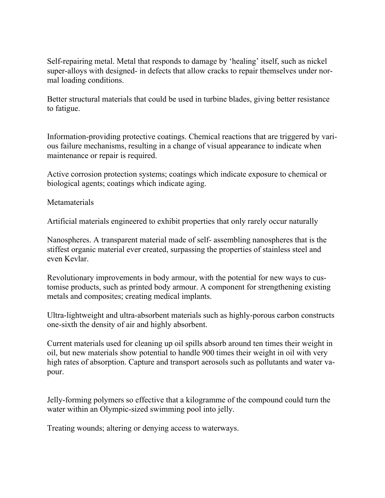Self-repairing metal. Metal that responds to damage by 'healing' itself, such as nickel super-alloys with designed- in defects that allow cracks to repair themselves under normal loading conditions.

Better structural materials that could be used in turbine blades, giving better resistance to fatigue.

Information-providing protective coatings. Chemical reactions that are triggered by various failure mechanisms, resulting in a change of visual appearance to indicate when maintenance or repair is required.

Active corrosion protection systems; coatings which indicate exposure to chemical or biological agents; coatings which indicate aging.

Metamaterials

Artificial materials engineered to exhibit properties that only rarely occur naturally

Nanospheres. A transparent material made of self- assembling nanospheres that is the stiffest organic material ever created, surpassing the properties of stainless steel and even Kevlar.

Revolutionary improvements in body armour, with the potential for new ways to customise products, such as printed body armour. A component for strengthening existing metals and composites; creating medical implants.

Ultra-lightweight and ultra-absorbent materials such as highly-porous carbon constructs one-sixth the density of air and highly absorbent.

Current materials used for cleaning up oil spills absorb around ten times their weight in oil, but new materials show potential to handle 900 times their weight in oil with very high rates of absorption. Capture and transport aerosols such as pollutants and water vapour.

Jelly-forming polymers so effective that a kilogramme of the compound could turn the water within an Olympic-sized swimming pool into jelly.

Treating wounds; altering or denying access to waterways.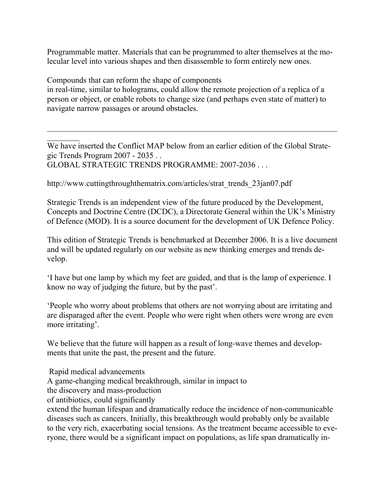Programmable matter. Materials that can be programmed to alter themselves at the molecular level into various shapes and then disassemble to form entirely new ones.

Compounds that can reform the shape of components

in real-time, similar to holograms, could allow the remote projection of a replica of a person or object, or enable robots to change size (and perhaps even state of matter) to navigate narrow passages or around obstacles.

We have inserted the Conflict MAP below from an earlier edition of the Global Strategic Trends Program 2007 - 2035 . . GLOBAL STRATEGIC TRENDS PROGRAMME: 2007-2036 . . .

 $\mathcal{L}_\text{max} = \mathcal{L}_\text{max} = \mathcal{L}_\text{max} = \mathcal{L}_\text{max} = \mathcal{L}_\text{max} = \mathcal{L}_\text{max} = \mathcal{L}_\text{max} = \mathcal{L}_\text{max} = \mathcal{L}_\text{max} = \mathcal{L}_\text{max} = \mathcal{L}_\text{max} = \mathcal{L}_\text{max} = \mathcal{L}_\text{max} = \mathcal{L}_\text{max} = \mathcal{L}_\text{max} = \mathcal{L}_\text{max} = \mathcal{L}_\text{max} = \mathcal{L}_\text{max} = \mathcal{$ 

http://www.cuttingthroughthematrix.com/articles/strat\_trends\_23jan07.pdf

Strategic Trends is an independent view of the future produced by the Development, Concepts and Doctrine Centre (DCDC), a Directorate General within the UK's Ministry of Defence (MOD). It is a source document for the development of UK Defence Policy.

This edition of Strategic Trends is benchmarked at December 2006. It is a live document and will be updated regularly on our website as new thinking emerges and trends develop.

'I have but one lamp by which my feet are guided, and that is the lamp of experience. I know no way of judging the future, but by the past'.

'People who worry about problems that others are not worrying about are irritating and are disparaged after the event. People who were right when others were wrong are even more irritating'.

We believe that the future will happen as a result of long-wave themes and developments that unite the past, the present and the future.

Rapid medical advancements

 $\frac{1}{2}$ 

A game-changing medical breakthrough, similar in impact to

the discovery and mass-production

of antibiotics, could significantly

extend the human lifespan and dramatically reduce the incidence of non-communicable diseases such as cancers. Initially, this breakthrough would probably only be available to the very rich, exacerbating social tensions. As the treatment became accessible to everyone, there would be a significant impact on populations, as life span dramatically in